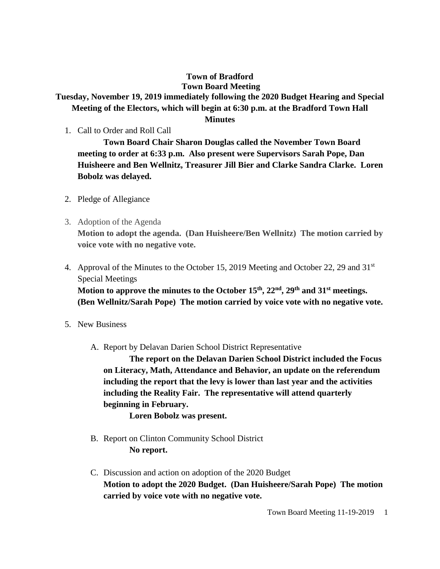## **Town of Bradford Town Board Meeting**

## **Tuesday, November 19, 2019 immediately following the 2020 Budget Hearing and Special Meeting of the Electors, which will begin at 6:30 p.m. at the Bradford Town Hall**

## **Minutes**

1. Call to Order and Roll Call

**Town Board Chair Sharon Douglas called the November Town Board meeting to order at 6:33 p.m. Also present were Supervisors Sarah Pope, Dan Huisheere and Ben Wellnitz, Treasurer Jill Bier and Clarke Sandra Clarke. Loren Bobolz was delayed.**

- 2. Pledge of Allegiance
- 3. Adoption of the Agenda **Motion to adopt the agenda. (Dan Huisheere/Ben Wellnitz) The motion carried by voice vote with no negative vote.**
- 4. Approval of the Minutes to the October 15, 2019 Meeting and October 22, 29 and  $31<sup>st</sup>$ Special Meetings **Motion to approve the minutes to the October 15th, 22nd, 29th and 31st meetings.**

**(Ben Wellnitz/Sarah Pope) The motion carried by voice vote with no negative vote.** 

- 5. New Business
	- A. Report by Delavan Darien School District Representative

**The report on the Delavan Darien School District included the Focus on Literacy, Math, Attendance and Behavior, an update on the referendum including the report that the levy is lower than last year and the activities including the Reality Fair. The representative will attend quarterly beginning in February.**

**Loren Bobolz was present.**

- B. Report on Clinton Community School District **No report.**
- C. Discussion and action on adoption of the 2020 Budget **Motion to adopt the 2020 Budget. (Dan Huisheere/Sarah Pope) The motion carried by voice vote with no negative vote.**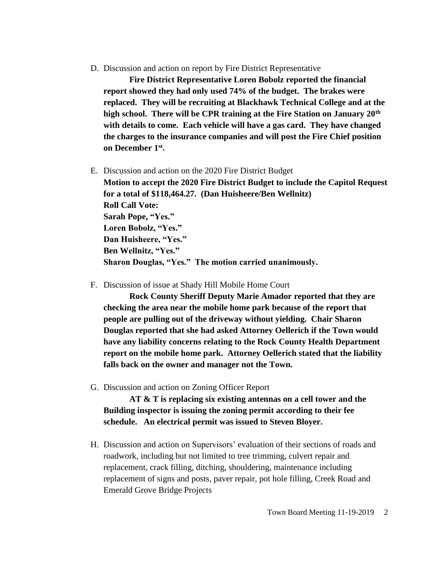D. Discussion and action on report by Fire District Representative

**Fire District Representative Loren Bobolz reported the financial report showed they had only used 74% of the budget. The brakes were replaced. They will be recruiting at Blackhawk Technical College and at the high school. There will be CPR training at the Fire Station on January 20th with details to come. Each vehicle will have a gas card. They have changed the charges to the insurance companies and will post the Fire Chief position on December 1st .** 

E. Discussion and action on the 2020 Fire District Budget

**Motion to accept the 2020 Fire District Budget to include the Capitol Request for a total of \$118,464.27. (Dan Huisheere/Ben Wellnitz) Roll Call Vote: Sarah Pope, "Yes." Loren Bobolz, "Yes." Dan Huisheere, "Yes." Ben Wellnitz, "Yes." Sharon Douglas, "Yes." The motion carried unanimously.**

F. Discussion of issue at Shady Hill Mobile Home Court

**Rock County Sheriff Deputy Marie Amador reported that they are checking the area near the mobile home park because of the report that people are pulling out of the driveway without yielding. Chair Sharon Douglas reported that she had asked Attorney Oellerich if the Town would have any liability concerns relating to the Rock County Health Department report on the mobile home park. Attorney Oellerich stated that the liability falls back on the owner and manager not the Town.**

G. Discussion and action on Zoning Officer Report

**AT & T is replacing six existing antennas on a cell tower and the Building inspector is issuing the zoning permit according to their fee schedule. An electrical permit was issued to Steven Bloyer.**

H. Discussion and action on Supervisors' evaluation of their sections of roads and roadwork, including but not limited to tree trimming, culvert repair and replacement, crack filling, ditching, shouldering, maintenance including replacement of signs and posts, paver repair, pot hole filling, Creek Road and Emerald Grove Bridge Projects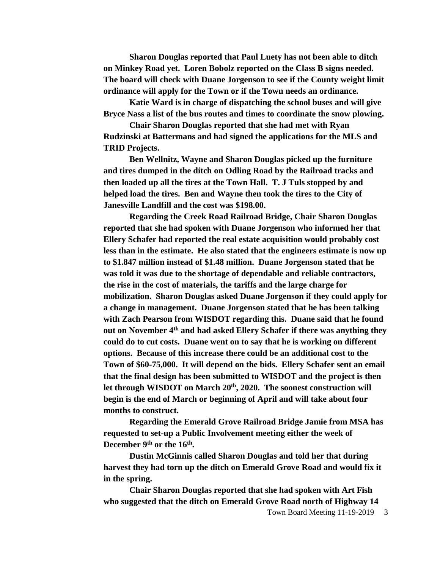**Sharon Douglas reported that Paul Luety has not been able to ditch on Minkey Road yet. Loren Bobolz reported on the Class B signs needed. The board will check with Duane Jorgenson to see if the County weight limit ordinance will apply for the Town or if the Town needs an ordinance.** 

**Katie Ward is in charge of dispatching the school buses and will give Bryce Nass a list of the bus routes and times to coordinate the snow plowing.** 

**Chair Sharon Douglas reported that she had met with Ryan Rudzinski at Battermans and had signed the applications for the MLS and TRID Projects.** 

**Ben Wellnitz, Wayne and Sharon Douglas picked up the furniture and tires dumped in the ditch on Odling Road by the Railroad tracks and then loaded up all the tires at the Town Hall. T. J Tuls stopped by and helped load the tires. Ben and Wayne then took the tires to the City of Janesville Landfill and the cost was \$198.00.** 

**Regarding the Creek Road Railroad Bridge, Chair Sharon Douglas reported that she had spoken with Duane Jorgenson who informed her that Ellery Schafer had reported the real estate acquisition would probably cost less than in the estimate. He also stated that the engineers estimate is now up to \$1.847 million instead of \$1.48 million. Duane Jorgenson stated that he was told it was due to the shortage of dependable and reliable contractors, the rise in the cost of materials, the tariffs and the large charge for mobilization. Sharon Douglas asked Duane Jorgenson if they could apply for a change in management. Duane Jorgenson stated that he has been talking with Zach Pearson from WISDOT regarding this. Duane said that he found out on November 4th and had asked Ellery Schafer if there was anything they could do to cut costs. Duane went on to say that he is working on different options. Because of this increase there could be an additional cost to the Town of \$60-75,000. It will depend on the bids. Ellery Schafer sent an email that the final design has been submitted to WISDOT and the project is then let through WISDOT on March 20th, 2020. The soonest construction will begin is the end of March or beginning of April and will take about four months to construct.** 

**Regarding the Emerald Grove Railroad Bridge Jamie from MSA has requested to set-up a Public Involvement meeting either the week of December 9 th or the 16th .** 

**Dustin McGinnis called Sharon Douglas and told her that during harvest they had torn up the ditch on Emerald Grove Road and would fix it in the spring.**

**Chair Sharon Douglas reported that she had spoken with Art Fish who suggested that the ditch on Emerald Grove Road north of Highway 14** 

Town Board Meeting 11-19-2019 3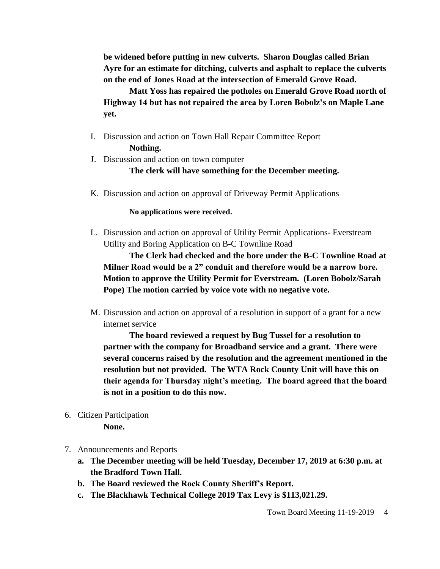**be widened before putting in new culverts. Sharon Douglas called Brian Ayre for an estimate for ditching, culverts and asphalt to replace the culverts on the end of Jones Road at the intersection of Emerald Grove Road.**

**Matt Yoss has repaired the potholes on Emerald Grove Road north of Highway 14 but has not repaired the area by Loren Bobolz's on Maple Lane yet.**

- I. Discussion and action on Town Hall Repair Committee Report **Nothing.**
- J. Discussion and action on town computer

**The clerk will have something for the December meeting.**

K. Discussion and action on approval of Driveway Permit Applications

**No applications were received.**

L. Discussion and action on approval of Utility Permit Applications- Everstream Utility and Boring Application on B-C Townline Road

**The Clerk had checked and the bore under the B-C Townline Road at Milner Road would be a 2" conduit and therefore would be a narrow bore. Motion to approve the Utility Permit for Everstream. (Loren Bobolz/Sarah Pope) The motion carried by voice vote with no negative vote.**

M. Discussion and action on approval of a resolution in support of a grant for a new internet service

**The board reviewed a request by Bug Tussel for a resolution to partner with the company for Broadband service and a grant. There were several concerns raised by the resolution and the agreement mentioned in the resolution but not provided. The WTA Rock County Unit will have this on their agenda for Thursday night's meeting. The board agreed that the board is not in a position to do this now.**

6. Citizen Participation

**None.**

- 7. Announcements and Reports
	- **a. The December meeting will be held Tuesday, December 17, 2019 at 6:30 p.m. at the Bradford Town Hall.**
	- **b. The Board reviewed the Rock County Sheriff's Report.**
	- **c. The Blackhawk Technical College 2019 Tax Levy is \$113,021.29.**